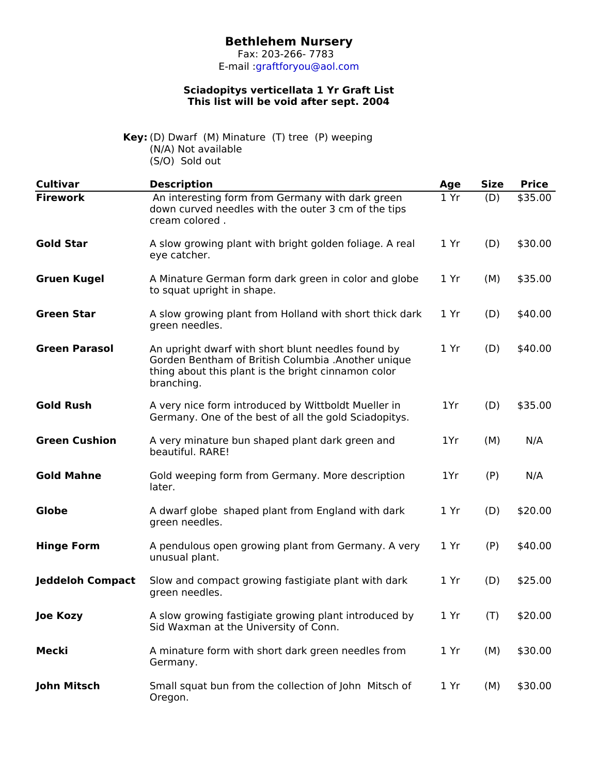# **Bethlehem Nursery**

Fax: 203-266- 7783 E-mail :graftforyou@aol.com

## **Sciadopitys verticellata 1 Yr Graft List This list will be void after sept. 2004**

|                         | <b>Key:</b> (D) Dwarf (M) Minature (T) tree (P) weeping<br>(N/A) Not available<br>(S/O) Sold out                                                                              |      |             |              |
|-------------------------|-------------------------------------------------------------------------------------------------------------------------------------------------------------------------------|------|-------------|--------------|
| <b>Cultivar</b>         | <b>Description</b>                                                                                                                                                            | Age  | <b>Size</b> | <b>Price</b> |
| <b>Firework</b>         | An interesting form from Germany with dark green<br>down curved needles with the outer 3 cm of the tips<br>cream colored.                                                     | 1Yr  | (D)         | \$35.00      |
| <b>Gold Star</b>        | A slow growing plant with bright golden foliage. A real<br>eye catcher.                                                                                                       | 1Yr  | (D)         | \$30.00      |
| <b>Gruen Kugel</b>      | A Minature German form dark green in color and globe<br>to squat upright in shape.                                                                                            | 1Yr  | (M)         | \$35.00      |
| <b>Green Star</b>       | A slow growing plant from Holland with short thick dark<br>green needles.                                                                                                     | 1Yr  | (D)         | \$40.00      |
| <b>Green Parasol</b>    | An upright dwarf with short blunt needles found by<br>Gorden Bentham of British Columbia .Another unique<br>thing about this plant is the bright cinnamon color<br>branching. | 1Yr  | (D)         | \$40.00      |
| <b>Gold Rush</b>        | A very nice form introduced by Wittboldt Mueller in<br>Germany. One of the best of all the gold Sciadopitys.                                                                  | 1Yr  | (D)         | \$35.00      |
| <b>Green Cushion</b>    | A very minature bun shaped plant dark green and<br>beautiful. RARE!                                                                                                           | 1Yr  | (M)         | N/A          |
| <b>Gold Mahne</b>       | Gold weeping form from Germany. More description<br>later.                                                                                                                    | 1Yr  | (P)         | N/A          |
| <b>Globe</b>            | A dwarf globe shaped plant from England with dark<br>green needles.                                                                                                           | 1 Yr | (D)         | \$20.00      |
| <b>Hinge Form</b>       | A pendulous open growing plant from Germany. A very<br>unusual plant.                                                                                                         | 1 Yr | (P)         | \$40.00      |
| <b>Jeddeloh Compact</b> | Slow and compact growing fastigiate plant with dark<br>green needles.                                                                                                         | 1 Yr | (D)         | \$25.00      |
| <b>Joe Kozy</b>         | A slow growing fastigiate growing plant introduced by<br>Sid Waxman at the University of Conn.                                                                                | 1 Yr | (T)         | \$20.00      |
| <b>Mecki</b>            | A minature form with short dark green needles from<br>Germany.                                                                                                                | 1 Yr | (M)         | \$30.00      |
| <b>John Mitsch</b>      | Small squat bun from the collection of John Mitsch of<br>Oregon.                                                                                                              | 1 Yr | (M)         | \$30.00      |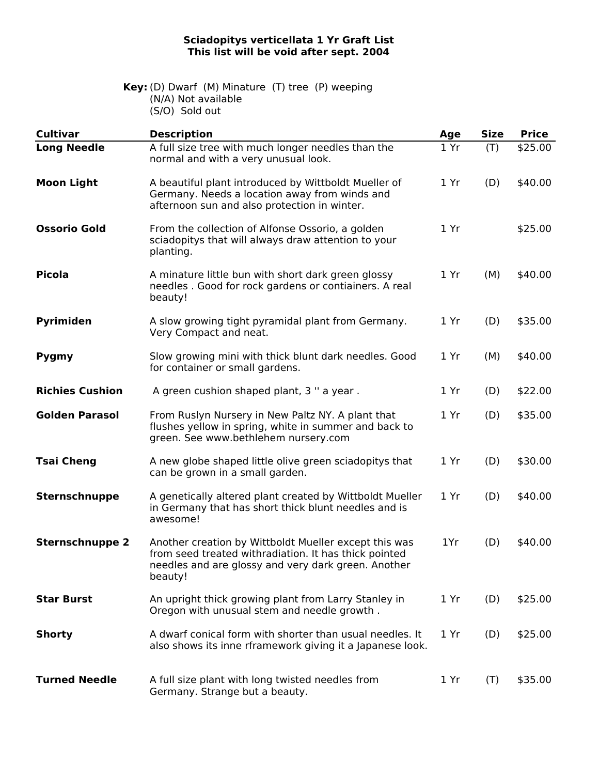#### **Sciadopitys verticellata 1 Yr Graft List This list will be void after sept. 2004**

| <b>Key:</b> (D) Dwarf (M) Minature (T) tree (P) weeping |  |
|---------------------------------------------------------|--|
| (N/A) Not available                                     |  |
| (S/O) Sold out                                          |  |

| <b>Cultivar</b>        | <b>Description</b>                                                                                                                                                               | Age  | <b>Size</b> | <b>Price</b> |
|------------------------|----------------------------------------------------------------------------------------------------------------------------------------------------------------------------------|------|-------------|--------------|
| <b>Long Needle</b>     | A full size tree with much longer needles than the<br>normal and with a very unusual look.                                                                                       | 1Yr  | (T)         | \$25.00      |
| <b>Moon Light</b>      | A beautiful plant introduced by Wittboldt Mueller of<br>Germany. Needs a location away from winds and<br>afternoon sun and also protection in winter.                            | 1 Yr | (D)         | \$40.00      |
| <b>Ossorio Gold</b>    | From the collection of Alfonse Ossorio, a golden<br>sciadopitys that will always draw attention to your<br>planting.                                                             | 1 Yr |             | \$25.00      |
| <b>Picola</b>          | A minature little bun with short dark green glossy<br>needles. Good for rock gardens or contiainers. A real<br>beauty!                                                           | 1 Yr | (M)         | \$40.00      |
| Pyrimiden              | A slow growing tight pyramidal plant from Germany.<br>Very Compact and neat.                                                                                                     | 1 Yr | (D)         | \$35.00      |
| <b>Pygmy</b>           | Slow growing mini with thick blunt dark needles. Good<br>for container or small gardens.                                                                                         | 1 Yr | (M)         | \$40.00      |
| <b>Richies Cushion</b> | A green cushion shaped plant, 3 " a year.                                                                                                                                        | 1Yr  | (D)         | \$22.00      |
| <b>Golden Parasol</b>  | From Ruslyn Nursery in New Paltz NY. A plant that<br>flushes yellow in spring, white in summer and back to<br>green. See www.bethlehem nursery.com                               | 1 Yr | (D)         | \$35.00      |
| <b>Tsai Cheng</b>      | A new globe shaped little olive green sciadopitys that<br>can be grown in a small garden.                                                                                        | 1 Yr | (D)         | \$30.00      |
| <b>Sternschnuppe</b>   | A genetically altered plant created by Wittboldt Mueller<br>in Germany that has short thick blunt needles and is<br>awesome!                                                     | 1 Yr | (D)         | \$40.00      |
| <b>Sternschnuppe 2</b> | Another creation by Wittboldt Mueller except this was<br>from seed treated withradiation. It has thick pointed<br>needles and are glossy and very dark green. Another<br>beauty! | 1Yr  | (D)         | \$40.00      |
| <b>Star Burst</b>      | An upright thick growing plant from Larry Stanley in<br>Oregon with unusual stem and needle growth.                                                                              | 1Yr  | (D)         | \$25.00      |
| <b>Shorty</b>          | A dwarf conical form with shorter than usual needles. It<br>also shows its inne rframework giving it a Japanese look.                                                            | 1 Yr | (D)         | \$25.00      |
| <b>Turned Needle</b>   | A full size plant with long twisted needles from<br>Germany. Strange but a beauty.                                                                                               | 1 Yr | (T)         | \$35.00      |